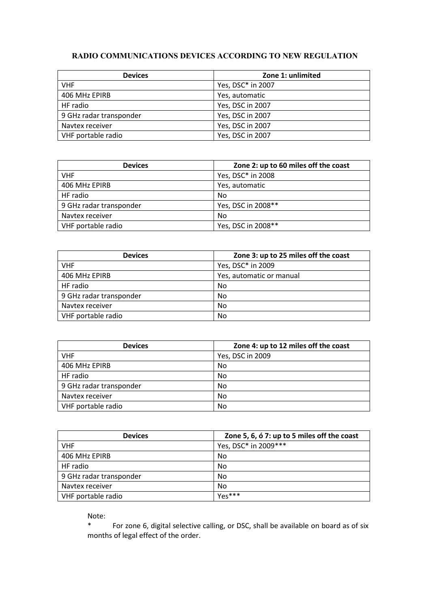## **RADIO COMMUNICATIONS DEVICES ACCORDING TO NEW REGULATION**

| <b>Devices</b>          | Zone 1: unlimited |
|-------------------------|-------------------|
| <b>VHF</b>              | Yes, DSC* in 2007 |
| 406 MHz EPIRB           | Yes, automatic    |
| HF radio                | Yes, DSC in 2007  |
| 9 GHz radar transponder | Yes, DSC in 2007  |
| Navtex receiver         | Yes, DSC in 2007  |
| VHF portable radio      | Yes, DSC in 2007  |

| <b>Devices</b>          | Zone 2: up to 60 miles off the coast |
|-------------------------|--------------------------------------|
| <b>VHF</b>              | Yes, DSC* in 2008                    |
| 406 MHz EPIRB           | Yes, automatic                       |
| HF radio                | No                                   |
| 9 GHz radar transponder | Yes, DSC in 2008**                   |
| Navtex receiver         | No                                   |
| VHF portable radio      | Yes, DSC in 2008**                   |

| <b>Devices</b>          | Zone 3: up to 25 miles off the coast |
|-------------------------|--------------------------------------|
| <b>VHF</b>              | Yes, DSC* in 2009                    |
| 406 MHz EPIRB           | Yes, automatic or manual             |
| HF radio                | No                                   |
| 9 GHz radar transponder | No.                                  |
| Navtex receiver         | No                                   |
| VHF portable radio      | No                                   |

| <b>Devices</b>          | Zone 4: up to 12 miles off the coast |
|-------------------------|--------------------------------------|
| <b>VHF</b>              | Yes, DSC in 2009                     |
| 406 MHz EPIRB           | No                                   |
| HF radio                | No                                   |
| 9 GHz radar transponder | No                                   |
| Navtex receiver         | No.                                  |
| VHF portable radio      | No                                   |

| <b>Devices</b>          | Zone 5, 6, ó 7: up to 5 miles off the coast |
|-------------------------|---------------------------------------------|
| <b>VHF</b>              | Yes, DSC* in 2009***                        |
| 406 MHz EPIRB           | No                                          |
| HF radio                | No                                          |
| 9 GHz radar transponder | No                                          |
| Navtex receiver         | No                                          |
| VHF portable radio      | Yes***                                      |

Note:

For zone 6, digital selective calling, or DSC, shall be available on board as of six months of legal effect of the order.